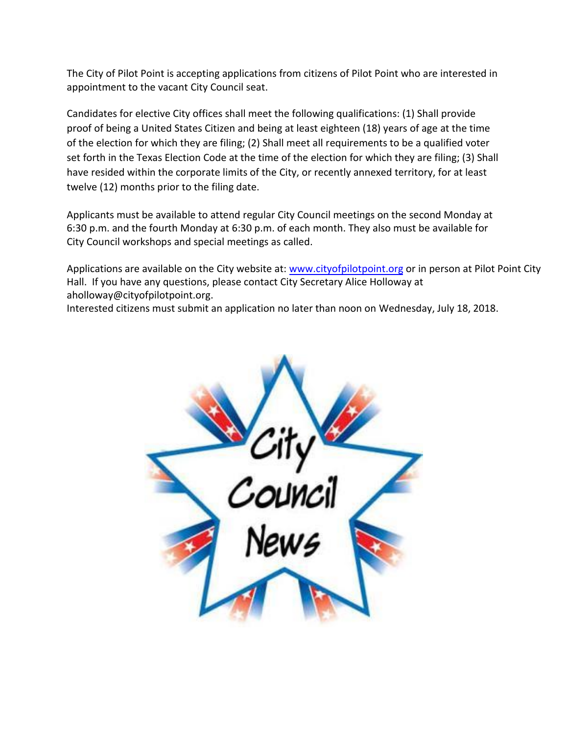The City of Pilot Point is accepting applications from citizens of Pilot Point who are interested in appointment to the vacant City Council seat.

Candidates for elective City offices shall meet the following qualifications: (1) Shall provide proof of being a United States Citizen and being at least eighteen (18) years of age at the time of the election for which they are filing; (2) Shall meet all requirements to be a qualified voter set forth in the Texas Election Code at the time of the election for which they are filing; (3) Shall have resided within the corporate limits of the City, or recently annexed territory, for at least twelve (12) months prior to the filing date.

Applicants must be available to attend regular City Council meetings on the second Monday at 6:30 p.m. and the fourth Monday at 6:30 p.m. of each month. They also must be available for City Council workshops and special meetings as called.

Applications are available on the City website at: [www.cityofpilotpoint.org](http://www.cityofpilotpoint.org/) or in person at Pilot Point City Hall. If you have any questions, please contact City Secretary Alice Holloway at aholloway@cityofpilotpoint.org.

Interested citizens must submit an application no later than noon on Wednesday, July 18, 2018.

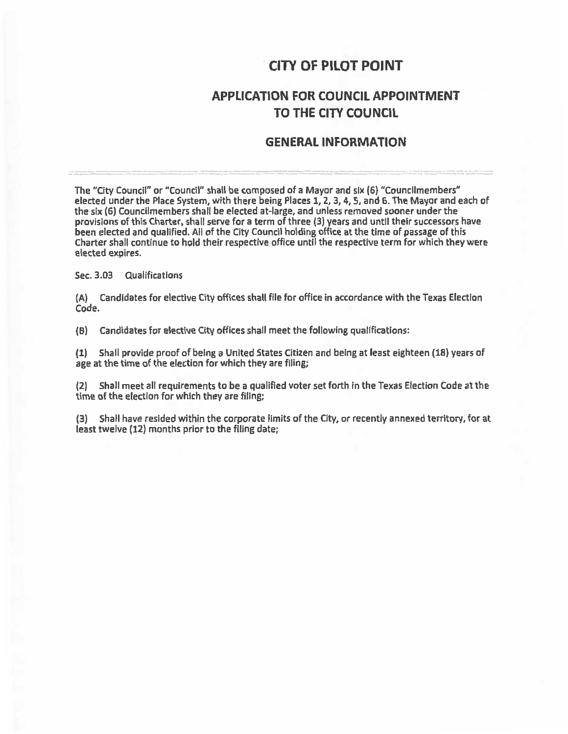## **CITY OF PILOT POINT**

### **APPLICATION FOR COUNCIL APPOINTMENT** TO THE CITY COUNCIL

#### **GENERAL INFORMATION**

The "City Council" or "Council" shall be composed of a Mayor and six (6) "Councilmembers" elected under the Place System, with there being Places 1, 2, 3, 4, 5, and 6. The Mayor and each of the six (6) Councilmembers shall be elected at-large, and unless removed sooner under the provisions of this Charter, shall serve for a term of three (3) years and until their successors have been elected and qualified. All of the City Council holding office at the time of passage of this Charter shall continue to hold their respective office until the respective term for which they were elected expires.

Sec. 3.03 Qualifications

(A) Candidates for elective City offices shall file for office in accordance with the Texas Election Code.

(B) Candidates for elective City offices shall meet the following qualifications:

Shall provide proof of being a United States Citizen and being at least eighteen (18) years of  $(1)$ age at the time of the election for which they are filing;

(2) Shall meet all requirements to be a qualified voter set forth in the Texas Election Code at the time of the election for which they are filing;

(3) Shall have resided within the corporate limits of the City, or recently annexed territory, for at least twelve (12) months prior to the filing date;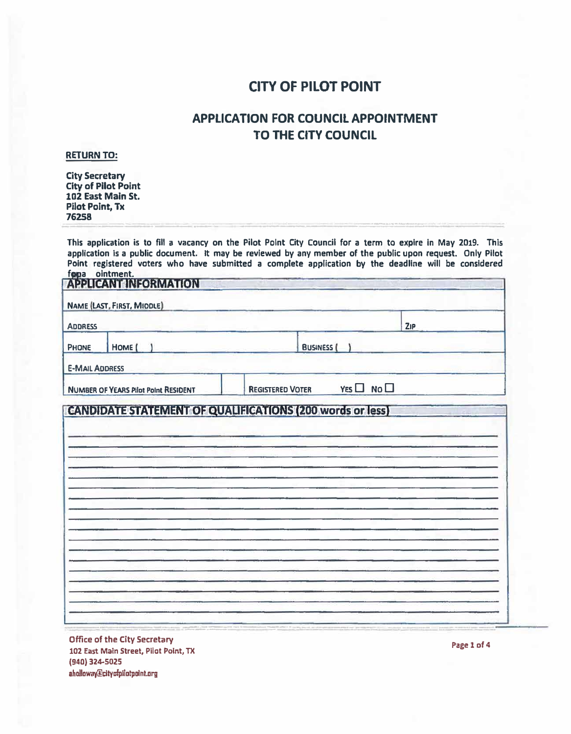# **CITY OF PILOT POINT**

## **APPLICATION FOR COUNCIL APPOINTMENT TO THE CITY COUNCIL**

#### **RETURN TO:**

**City Secretary City of Pilot Point 1D2 East Main St. Pilot Point, Tx 76258** 

This application is to fill a vacancy on the Pilot Point City Council for a term to expire in May 2019. This **application Is a public document It may be reviewed by any member of the public upon request. Only Pilot Point registered voters who have submitted a complete application by the deadline** will **be considered for a** ointment.<br>A BDLICANT INCORNATION

| <b>ADDRESS</b>                                                   |                         |                        | ZIP |
|------------------------------------------------------------------|-------------------------|------------------------|-----|
| HOME (<br><b>PHONE</b>                                           | <b>BUSINESS</b>         |                        |     |
| <b>E-MAIL ADDRESS</b>                                            |                         |                        |     |
| <b>NUMBER OF YEARS Pilot Point RESIDENT</b>                      | <b>REGISTERED VOTER</b> | $YES$ $\Box$ No $\Box$ |     |
| <b>CANDIDATE STATEMENT OF QUALIFICATIONS (200 words or less)</b> |                         |                        |     |
|                                                                  |                         |                        |     |
|                                                                  |                         |                        |     |
|                                                                  |                         |                        |     |
|                                                                  |                         |                        |     |
|                                                                  |                         |                        |     |
|                                                                  |                         |                        |     |
|                                                                  |                         |                        |     |
|                                                                  |                         |                        |     |
|                                                                  |                         |                        |     |
|                                                                  |                         |                        |     |
|                                                                  |                         |                        |     |
|                                                                  |                         |                        |     |
|                                                                  |                         |                        |     |
|                                                                  |                         |                        |     |
|                                                                  |                         |                        |     |
|                                                                  |                         |                        |     |
|                                                                  |                         |                        |     |

**Office of the City Secretary 102 East Main Street, Pilot Point, TX (940) 324-S025 aholloway@cltyafpUotpnlnt.11rg**

**Page 1 of 4**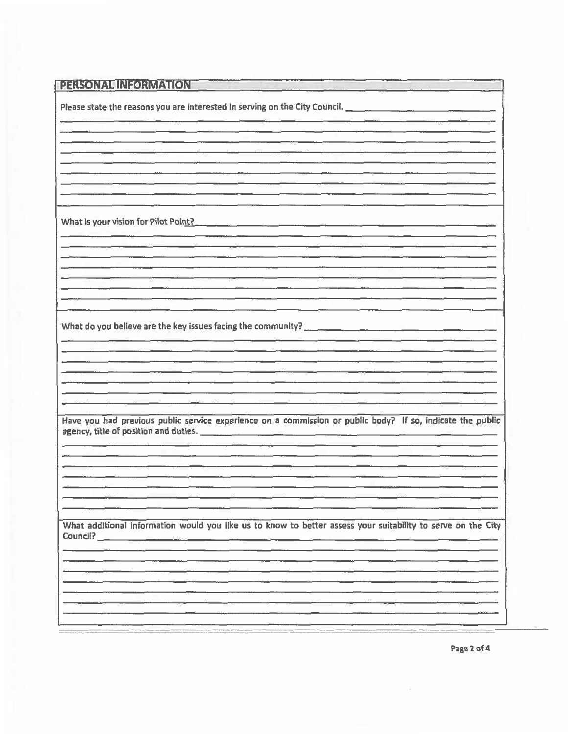| PERSONAL INFORMATION                                                                                           |
|----------------------------------------------------------------------------------------------------------------|
| Please state the reasons you are interested in serving on the City Council. __________________________________ |
|                                                                                                                |
|                                                                                                                |
|                                                                                                                |
|                                                                                                                |
| What is your vision for Pilot Point?                                                                           |
|                                                                                                                |
|                                                                                                                |
|                                                                                                                |
|                                                                                                                |
|                                                                                                                |
|                                                                                                                |
|                                                                                                                |
| Have you had previous public service experience on a commission or public body? If so, indicate the public     |
|                                                                                                                |
|                                                                                                                |
|                                                                                                                |
|                                                                                                                |
| What additional information would you like us to know to better assess your suitability to serve on the City   |
|                                                                                                                |
|                                                                                                                |
|                                                                                                                |
|                                                                                                                |

Page 2 of 4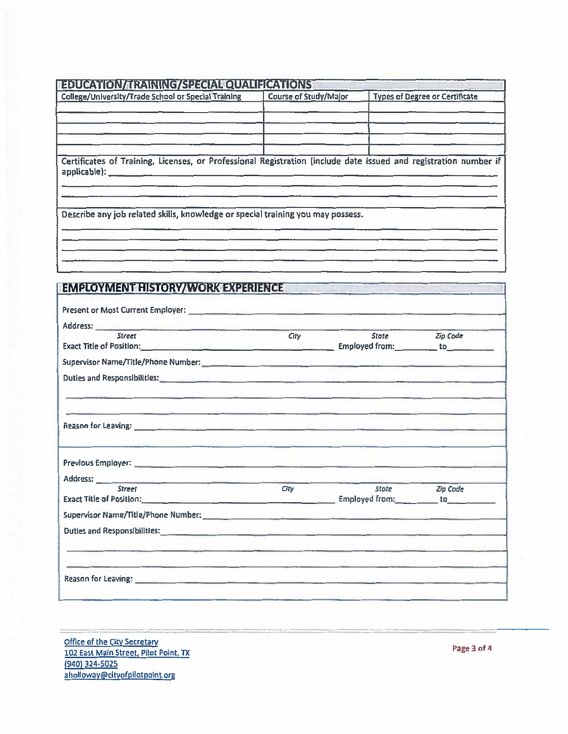| College/University/Trade School or Special Training<br>Certificates of Training, Licenses, or Professional Registration (include date issued and registration number if<br><u> 1989 - Jan James San San James James James James James James James James James James James James James James</u><br>Describe any job related skills, knowledge or special training you may possess.<br><b>EMPLOYMENT HISTORY/WORK EXPERIENCE</b><br>Address: _______<br>www.ge.com/second-com/2002/07/07/07<br><b>Street</b><br>Exact Title of Position: 100 million and the Capital Community of Community Community Community Community Community Community Community Community Community Community Community Community Community Community Community Commun | Course of Study/Major<br>City | State <b>Zip Code</b> | <b>Types of Degree or Certificate</b>         |
|-----------------------------------------------------------------------------------------------------------------------------------------------------------------------------------------------------------------------------------------------------------------------------------------------------------------------------------------------------------------------------------------------------------------------------------------------------------------------------------------------------------------------------------------------------------------------------------------------------------------------------------------------------------------------------------------------------------------------------------------------|-------------------------------|-----------------------|-----------------------------------------------|
|                                                                                                                                                                                                                                                                                                                                                                                                                                                                                                                                                                                                                                                                                                                                               |                               |                       |                                               |
|                                                                                                                                                                                                                                                                                                                                                                                                                                                                                                                                                                                                                                                                                                                                               |                               |                       |                                               |
|                                                                                                                                                                                                                                                                                                                                                                                                                                                                                                                                                                                                                                                                                                                                               |                               |                       |                                               |
|                                                                                                                                                                                                                                                                                                                                                                                                                                                                                                                                                                                                                                                                                                                                               |                               |                       |                                               |
|                                                                                                                                                                                                                                                                                                                                                                                                                                                                                                                                                                                                                                                                                                                                               |                               |                       |                                               |
|                                                                                                                                                                                                                                                                                                                                                                                                                                                                                                                                                                                                                                                                                                                                               |                               |                       |                                               |
|                                                                                                                                                                                                                                                                                                                                                                                                                                                                                                                                                                                                                                                                                                                                               |                               |                       |                                               |
|                                                                                                                                                                                                                                                                                                                                                                                                                                                                                                                                                                                                                                                                                                                                               |                               |                       |                                               |
|                                                                                                                                                                                                                                                                                                                                                                                                                                                                                                                                                                                                                                                                                                                                               |                               |                       |                                               |
|                                                                                                                                                                                                                                                                                                                                                                                                                                                                                                                                                                                                                                                                                                                                               |                               |                       |                                               |
|                                                                                                                                                                                                                                                                                                                                                                                                                                                                                                                                                                                                                                                                                                                                               |                               |                       |                                               |
|                                                                                                                                                                                                                                                                                                                                                                                                                                                                                                                                                                                                                                                                                                                                               |                               |                       |                                               |
|                                                                                                                                                                                                                                                                                                                                                                                                                                                                                                                                                                                                                                                                                                                                               |                               |                       |                                               |
|                                                                                                                                                                                                                                                                                                                                                                                                                                                                                                                                                                                                                                                                                                                                               |                               |                       |                                               |
|                                                                                                                                                                                                                                                                                                                                                                                                                                                                                                                                                                                                                                                                                                                                               |                               |                       |                                               |
|                                                                                                                                                                                                                                                                                                                                                                                                                                                                                                                                                                                                                                                                                                                                               |                               |                       |                                               |
|                                                                                                                                                                                                                                                                                                                                                                                                                                                                                                                                                                                                                                                                                                                                               |                               |                       |                                               |
|                                                                                                                                                                                                                                                                                                                                                                                                                                                                                                                                                                                                                                                                                                                                               |                               |                       |                                               |
|                                                                                                                                                                                                                                                                                                                                                                                                                                                                                                                                                                                                                                                                                                                                               |                               |                       |                                               |
|                                                                                                                                                                                                                                                                                                                                                                                                                                                                                                                                                                                                                                                                                                                                               |                               |                       |                                               |
|                                                                                                                                                                                                                                                                                                                                                                                                                                                                                                                                                                                                                                                                                                                                               |                               |                       |                                               |
|                                                                                                                                                                                                                                                                                                                                                                                                                                                                                                                                                                                                                                                                                                                                               |                               |                       |                                               |
|                                                                                                                                                                                                                                                                                                                                                                                                                                                                                                                                                                                                                                                                                                                                               |                               |                       |                                               |
|                                                                                                                                                                                                                                                                                                                                                                                                                                                                                                                                                                                                                                                                                                                                               |                               |                       |                                               |
| Reason for Leaving: <u>continuous continuous continuous continuous continuous continuous continuous continuous continuous continuous continuous continuous continuous continuous continuous continuous continuous continuous con</u>                                                                                                                                                                                                                                                                                                                                                                                                                                                                                                          |                               |                       |                                               |
|                                                                                                                                                                                                                                                                                                                                                                                                                                                                                                                                                                                                                                                                                                                                               |                               |                       |                                               |
|                                                                                                                                                                                                                                                                                                                                                                                                                                                                                                                                                                                                                                                                                                                                               |                               |                       |                                               |
|                                                                                                                                                                                                                                                                                                                                                                                                                                                                                                                                                                                                                                                                                                                                               |                               |                       |                                               |
| Address: _______                                                                                                                                                                                                                                                                                                                                                                                                                                                                                                                                                                                                                                                                                                                              |                               |                       |                                               |
| <b>Street</b>                                                                                                                                                                                                                                                                                                                                                                                                                                                                                                                                                                                                                                                                                                                                 | City                          | <b>State</b>          | <b>Zip Code</b>                               |
| <b>Exact Title of Position:</b><br><u> 1980 - Jan Bernard Bernard, mars and de la propinsie de la propinsie de la propinsie de la propinsie de la p</u>                                                                                                                                                                                                                                                                                                                                                                                                                                                                                                                                                                                       |                               |                       | Employed from: _____________ to______________ |
|                                                                                                                                                                                                                                                                                                                                                                                                                                                                                                                                                                                                                                                                                                                                               |                               |                       |                                               |
| Duties and Responsibilities: <u>Commission and Commission and Commission and Commission and Commission and Commission</u>                                                                                                                                                                                                                                                                                                                                                                                                                                                                                                                                                                                                                     |                               |                       |                                               |
| the contract of the contract of the contract of the contract of the contract of the contract of the contract of                                                                                                                                                                                                                                                                                                                                                                                                                                                                                                                                                                                                                               |                               |                       |                                               |
|                                                                                                                                                                                                                                                                                                                                                                                                                                                                                                                                                                                                                                                                                                                                               |                               |                       |                                               |
| The Contract Contract Contract Contract Contract Contract Contract Contract Contract Contract Contract Contract Contract Contract Contract Contract Contract Contract Contract Contract Contract Contract Contract Contract C                                                                                                                                                                                                                                                                                                                                                                                                                                                                                                                 |                               |                       |                                               |
| Reason for Leaving: <u>Commission Commission and Commission Commission and Commission Commission and Commission and Commission and Commission</u>                                                                                                                                                                                                                                                                                                                                                                                                                                                                                                                                                                                             |                               |                       |                                               |

Office of the City Secretary<br>102 East Main Street, Pilot Point, TX<br>(940) 324-5025<br>aholloway@cityofpilotpoint org

Page 3 of 4